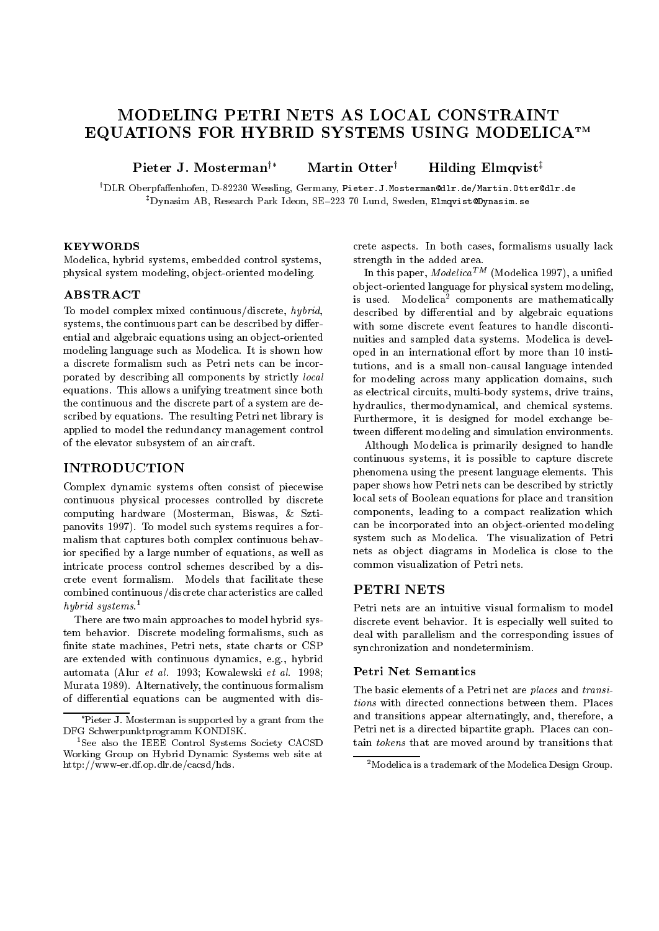# MODELING PETRI NETS AS LOCAL CONSTRAINT EQUATIONS FOR HYBRID SYSTEMS USING MODELICATM

Pieter J. Mosterman<sup>†\*</sup> Martin Otter<sup>†</sup> Hilding Elmqvist<sup>‡</sup>

<sup>†</sup>DLR Oberpfaffenhofen, D-82230 Wessling, Germany, Pieter.J.Mosterman@dlr.de/Martin.Otter@dlr.de <sup>‡</sup>Dynasim AB, Research Park Ideon, SE-223 70 Lund, Sweden, Elmqvist@Dynasim.se

## **KEYWORDS**

Modelica, hybrid systems, embedded control systems, physical system modeling, ob ject-oriented modeling.

## ABSTRACT

To model complex mixed continuous/discrete, hybrid, systems, the continuous part can be described by differential and algebraic equations using an ob ject-oriented modeling language such as Modelica. It is shown how a discrete formalism such as Petri nets can be incorporated by describing all components by strictly local equations. This allows a unifying treatment since both the continuous and the discrete part of a system are described by equations. The resulting Petri net library is applied to model the redundancy management control of the elevator subsystem of an aircraft.

# **INTRODUCTION**

Complex dynamic systems often consist of piecewise continuous physical processes controlled by discrete computing hardware (Mosterman, Biswas, & Sztipanovits 1997). To model such systems requires a formalism that captures both complex continuous behavior specied by a large number of equations, as well as intricate process control schemes described by a discrete event formalism. Models that facilitate these<br>combined continuous (discrete characteristics are called PETRI NETS combined continuous/discrete characteristics are called hybrid systems.1

There are two main approaches to model hybrid system behavior. Discrete modeling formalisms, such as nite state machines, Petri nets, state charts or CSP are extended with continuous dynamics, e.g., hybrid automata (Alur et al. 1993; Kowalewski et al. 1998; Murata 1989). Alternatively, the continuous formalism of differential equations can be augmented with discrete aspects. In both cases, formalisms usually lack strength in the added area.

In this paper,  $Modelica^{TM}$  (Modelica 1997), a unified ob ject-oriented language for physical system modeling, is used. Modelica<sup>2</sup> components are mathematically described by differential and by algebraic equations with some discrete event features to handle disconti nuities and sampled data systems. Modelica is developed in an international effort by more than 10 institutions, and is a small non-causal language intended for modeling across many application domains, such as electrical circuits, multi-body systems, drive trains, hydraulics, thermodynamical, and chemical systems. Furthermore, it is designed for model exchange between different modeling and simulation environments.

Although Modelica is primarily designed to handle continuous systems, it is possible to capture discrete phenomena using the present language elements. This paper shows how Petri nets can be described by strictly local sets of Boolean equations for place and transition components, leading to a compact realization which can be incorporated into an ob ject-oriented modeling system such as Modelica. The visualization of Petri nets as ob ject diagrams in Modelica is close to the common visualization of Petri nets.

Petri nets are an intuitive visual formalism to model discrete event behavior. It is especially well suited to deal with parallelism and the corresponding issues of synchronization and nondeterminism.

#### Petri Net Semantics

The basic elements of a Petri net are places and transitions with directed connections between them. Places and transitions appear alternatingly, and, therefore, a Petri net is a directed bipartite graph. Places can contain tokens that are moved around by transitions that

Pieter J. Mosterman is supported by a grant from the DFG Schwerpunktprogramm KONDISK.

<sup>&</sup>lt;sup>1</sup>See also the IEEE Control Systems Society CACSD Working Group on Hybrid Dynamic Systems web site at http://www-er.df.op.dlr.de/cacsd/hds .

 $2^2$ Modelica is a trademark of the Modelica Design Group.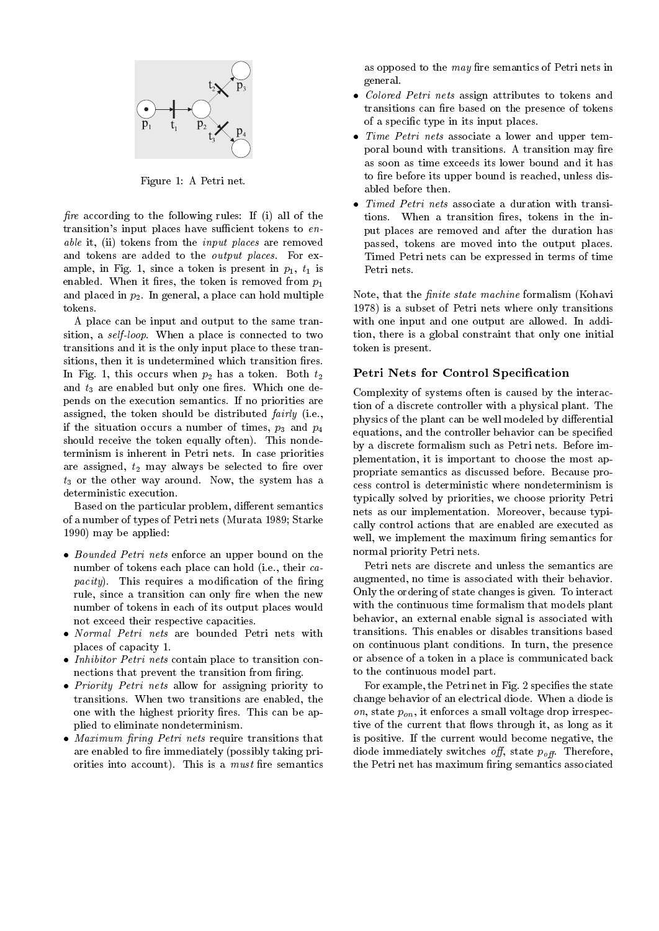

Figure 1: A Petri net.

fire according to the following rules: If  $(i)$  all of the transition's input places have sufficient tokens to  $en$ able it, (ii) tokens from the *input places* are removed and tokens are added to the output places. For example, in Fig. 1, since a token is present in  $p_1$ ,  $t_1$  is enabled. When it fires, the token is removed from  $p_1$ and placed in  $p_2$ . In general, a place can hold multiple tokens.

A place can be input and output to the same transition, a self-loop. When a place is connected to two transitions and it is the only input place to these transitions, then it is undetermined which transition fires. In Fig. 1, this occurs when  $p_2$  has a token. Both  $t_2$ and  $t_3$  are enabled but only one fires. Which one depends on the execution semantics. If no priorities are assigned, the token should be distributed fairly (i.e., if the situation occurs a number of times,  $p_3$  and  $p_4$ should receive the token equally often). This nondeterminism is inherent in Petri nets. In case priorities are assigned,  $t_2$  may always be selected to fire over  $t_3$  or the other way around. Now, the system has a deterministic execution.

Based on the particular problem, different semantics of a number of types of Petri nets (Murata 1989; Starke 1990) may be applied:

- Bounded Petri nets enforce an upper bound on the number of tokens each place can hold (i.e., their ca- $\textit{pacity}$ ). This requires a modification of the firing rule, since a transition can only fire when the new number of tokens in each of its output places would not exceed their respective capacities.
- places of capacity 1.
- Inhibitor Petri nets contain place to transition connections that prevent the transition from firing.
- Priority Petri nets allow for assigning priority to transitions. When two transitions are enabled, the one with the highest priority fires. This can be applied to eliminate nondeterminism.
- maximum is a ring per ring ring per ring to require the second require that the second require that  $\mathcal{S}(\mathcal{S})$ are enabled to fire immediately (possibly taking priorities into account). This is a *must* fire semantics

as opposed to the  $may$  fire semantics of Petri nets in general.

- Colored Petri nets assign attributes to tokens and transitions can fire based on the presence of tokens of a specic type in its input places.
- Time Petri nets associate a lower and upper temporal bound with transitions. A transition may fire as soon as time exceeds its lower bound and it has to fire before its upper bound is reached, unless disabled before then.
- Timed Petri nets associate a duration with transitions. When a transition fires, tokens in the input places are removed and after the duration has passed, tokens are moved into the output places. Timed Petri nets can be expressed in terms of time Petri nets.

Note, that the *finite state machine* formalism (Kohavi 1978) is a subset of Petri nets where only transitions with one input and one output are allowed. In addition, there is a global constraint that only one initial token is present.

## Petri Nets for Control Specification

Complexity of systems often is caused by the interaction of a discrete controller with a physical plant. The physics of the plant can be well modeled by differential equations, and the controller behavior can be specied by a discrete formalism such as Petri nets. Before implementation, it is important to choose the most appropriate semantics as discussed before. Because process control is deterministic where nondeterminism is typically solved by priorities, we choose priority Petri nets as our implementation. Moreover, because typically control actions that are enabled are executed as well, we implement the maximum firing semantics for normal priority Petri nets.

Petri nets are discrete and unless the semantics are augmented, no time is associated with their behavior. Only the ordering of state changes is given. To interact with the continuous time formalism that models plant behavior, an external enable signal is associated with transitions. This enables or disables transitions based on continuous plant conditions. In turn, the presence or absence of a token in a place is communicated back to the continuous model part.

For example, the Petri net in Fig. 2 specifies the state change behavior of an electrical diode. When a diode is on, state  $p_{on}$ , it enforces a small voltage drop irrespective of the current that flows through it, as long as it is positive. If the current would become negative, the diode immediately switches off, state  $p_{off}$ . Therefore, the Petri net has maximum firing semantics associated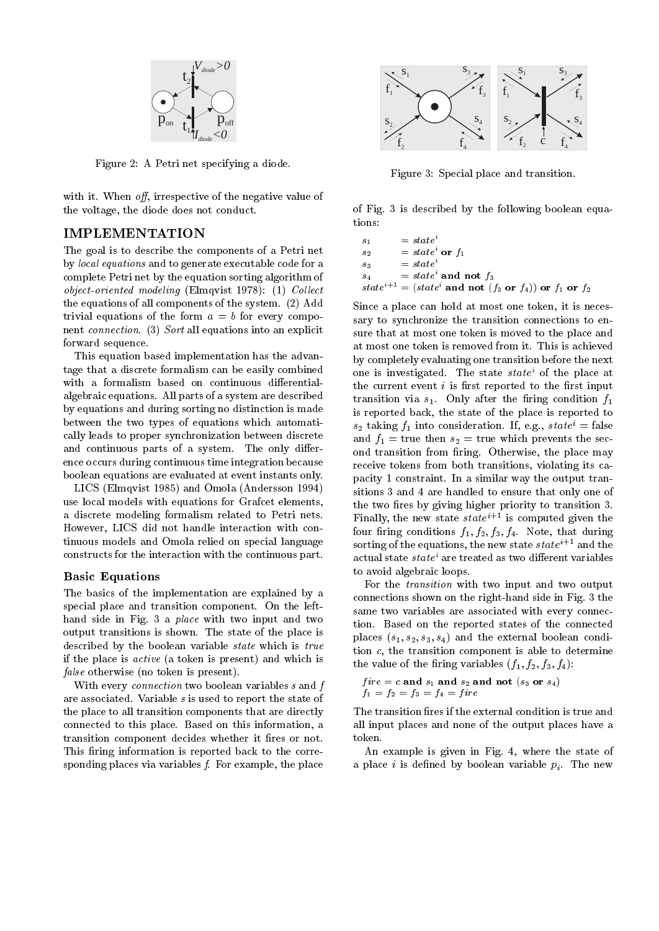

Figure 2: A Petri net specifying a diode.

with it. When *off*, irrespective of the negative value of the voltage, the diode does not conduct.

# IMPLEMENTATION

The goal is to describe the components of a Petri net by local equations and to generate executable code for a complete Petri net by the equation sorting algorithm of object-oriented modeling (Elmqvist 1978): (1) Collect the equations of all components of the system. (2) Add trivial equations of the form  $a = b$  for every component connection. (3) Sort all equations into an explicit forward sequence.

This equation based implementation has the advantage that a discrete formalism can be easily combined with a formalism based on continuous differentialalgebraic equations. All parts of a system are described by equations and during sorting no distinction is made between the two types of equations which automatically leads to proper synchronization between discrete and continuous parts of a system. The only difference occurs during continuous time integration because boolean equations are evaluated at event instants only.

LICS (Elmqvist 1985) and Omola (Andersson 1994) use local models with equations for Grafcet elements, a discrete modeling formalism related to Petri nets. However, LICS did not handle interaction with continuous models and Omola relied on special language constructs for the interaction with the continuous part.

#### Basic Equations

The basics of the implementation are explained by a special place and transition component. On the lefthand side in Fig. 3 a place with two input and two output transitions is shown. The state of the place is described by the boolean variable state which is true if the place is active (a token is present) and which is false otherwise (no token is present).

With every *connection* two boolean variables s and f are associated. Variable s is used to report the state of the place to all transition components that are directly connected to this place. Based on this information, a transition component decides whether it fires or not. This firing information is reported back to the corresponding places via variables  $f$ . For example, the place



Figure 3: Special place and transition.

of Fig. 3 is described by the following boolean equations:

$$
s_1 = state^i
$$
  
\n
$$
s_2 = state^i
$$
  
\n
$$
s_3 = state^i
$$
  
\n
$$
s_4 = state^i
$$
  
\n
$$
state^{i+1} = (state^i \text{ and not } f_3 \text{ or } f_4)) \text{ or } f_1 \text{ or } f_2
$$

Since a place can hold at most one token, it is necessary to synchronize the transition connections to ensure that at most one token is moved to the place and at most one token is removed from it. This is achieved by completely evaluating one transition before the next one is investigated. The state state<sup>i</sup> of the place at the current event  $i$  is first reported to the first input transition via  $s_1$ . Only after the firing condition  $f_1$ is reported back, the state of the place is reported to  $s_2$  taking  $f_1$  into consideration. If, e.g.,  $state^i = false$ and  $f_1$  = true then  $s_2$  = true which prevents the second transition from firing. Otherwise, the place may receive tokens from both transitions, violating its capacity 1 constraint. In a similar way the output transitions 3 and 4 are handled to ensure that only one of the two fires by giving higher priority to transition 3. Finally, the new state  $state^{i+1}$  is computed given the four firing conditions  $f_1, f_2, f_3, f_4$ . Note, that during sorting of the equations, the new state  $state^{i+1}$  and the actual state state<sup>i</sup> are treated as two different variables to avoid algebraic loops.

For the transition with two input and two output connections shown on the right-hand side in Fig. 3 the same two variables are associated with every connection. Based on the reported states of the connected places  $(s_1, s_2, s_3, s_4)$  and the external boolean condition c, the transition component is able to determine the value of the firing variables  $(f_1, f_2, f_3, f_4)$ :

$$
fire = c \text{ and } s_1 \text{ and } s_2 \text{ and not } (s_3 \text{ or } s_4)
$$

$$
f_1 = f_2 = f_3 = f_4 = fire
$$

The transition fires if the external condition is true and all input places and none of the output places have a token.

An example is given in Fig. 4, where the state of a place i is defined by boolean variable  $p_i$ . The new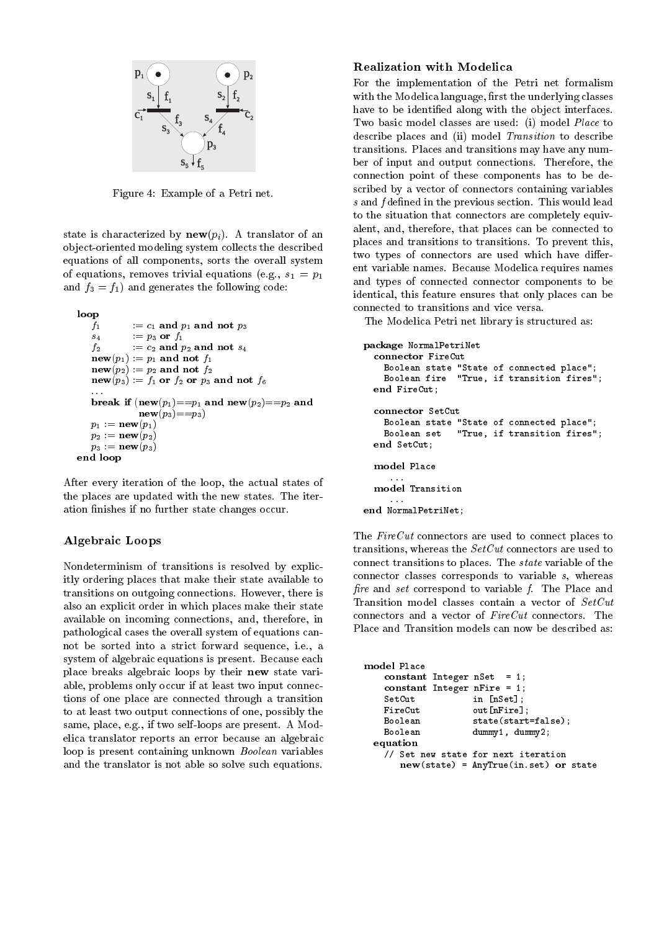

Figure 4: Example of a Petri net.

state is characterized by  $\mathbf{new}(p_i)$ . A translator of an ob ject-oriented modeling system collects the described equations of all components, sorts the overall system of equations, removes trivial equations (e.g.,  $s_1 = p_1$ ) and  $f_3 = f_1$ ) and generates the following code:

```
loopf_1 := c_1 and p_1 and not p_3s_4 := p_3 or f_1f_2 := c_2 and p_2 and not s_4new(p_1) := p_1 and not f_1new(p_2) := p_2 and not f_2new(p_3) := f_1 or f_2 or p_3 and not f_6break if ( inew(p_1) = =p_1 and new(p_2) = =p_2 and
             \mathbf{new}(p_3) = p_3p_1 := \mathbf{new}(p_1)p_2 := \mathbf{new}(p_2)p_3 := \mathbf{new}(p_3)end loop
```
After every iteration of the loop, the actual states of the places are updated with the new states. The iteration finishes if no further state changes occur.

# Algebraic Loops

Nondeterminism of transitions is resolved by explicitly ordering places that make their state available to transitions on outgoing connections. However, there is also an explicit order in which places make their state available on incoming connections, and, therefore, in pathological cases the overall system of equations cannot be sorted into a strict forward sequence, i.e., a system of algebraic equations is present. Because each place breaks algebraic loops by their new state variable, problems only occur if at least two input connections of one place are connected through a transition to at least two output connections of one, possibly the same, place, e.g., if two self-loops are present. A Modelica translator reports an error because an algebraic loop is present containing unknown Boolean variables and the translator is not able so solve such equations.

# Realization with Modelica

For the implementation of the Petri net formalism with the Modelica language, first the underlying classes have to be identified along with the object interfaces. Two basic model classes are used: (i) model Place to describe places and (ii) model Transition to describe transitions. Places and transitions may have any number of input and output connections. Therefore, the connection point of these components has to be described by a vector of connectors containing variables  $s$  and  $f$  defined in the previous section. This would lead to the situation that connectors are completely equivalent, and, therefore, that places can be connected to places and transitions to transitions. To prevent this, two types of connectors are used which have different variable names. Because Modelica requires names and types of connected connector components to be identical, this feature ensures that only places can be connected to transitions and vice versa.

The Modelica Petri net library is structured as:

```
package normal over the c
   comment fire Cutting the Cutting of the Cutting of the Cutting of the Cutting of the Cutting of the Cutting of
     Boolean state "State of connected place";
     Boolean fire "True, if transition fires";
   end FireCut;
     Boolean state "State of connected place";
     Boolean set "True, if transition fires";
  end SetCut:
   endset is set of the set of the set of the set of the set of the set of the set of the set of the set of the set o
   model Place
       \sim \sim
```
The FireCut connectors are used to connect places to transitions, whereas the SetCut connectors are used to connect transitions to places. The state variable of the connector classes corresponds to variable s, whereas fire and set correspond to variable f. The Place and Transition model classes contain a vector of SetCut connectors and a vector of FireCut connectors. The Place and Transition models can now be described as:

end normal persons in the contract of the contract of the contract of the contract of the contract of the contract of the contract of the contract of the contract of the contract of the contract of the contract of the cont

```
constant integer noted to a 1;
  constant Integer nFire = 1;
                in [nSet];
 SetCutFireCut out[nFire];
 Boolean state(start=false);
 Boolean dummy1, dummy2;
equation// Set new state for next iteration new(state) = AnyTrue(in.set) or state
```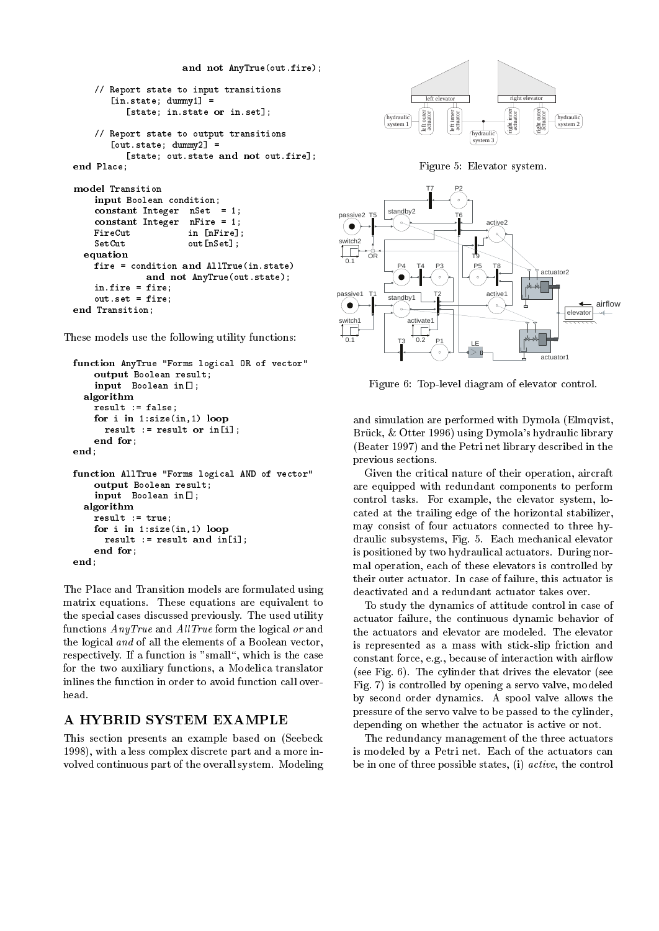```
and \alpha and \alpha and \alpha and \alpha and \alpha and \alpha// Report state to input transitions
        [in.state; dummy1] =
             [state; in.state or in.set];
     // Report state to output transitions
        [out.state; dummy2] =
             [state; out.state and not out.fire];
end Place;
model Transition and the contract of the contract of the contract of the contract of the contract of the contract of the contract of the contract of the contract of the contract of the contract of the contract of the contr
     input Boolean condition;
     constant integer noted to the 1;
    constant Integer
                            nFire = 1;FireCut in [nFire];
    SetCut out[nSet];
  equationfire = condition and AllTrue(in.state)
                  and not any True (out.state);
     in.fire = fire;
     out.set = fire:
     out.set = fire;
end Transporter;
```
These models use the following utility functions:

```
function AnyTrue "Forms logical OR of vector"
    output Boolean results;
    input Boolean in[];
  algorithmresult := false;
    for i in 1:size(in,1) loop
     result := result or in[i];
   end for:
         for;
end;
function AllTrue "Forms logical AND of vector"
    output Boolean results;
    input Boolean in[];
 algorithmresult := true;
    for it is in the set \{1,2\} in the set \mathcal{F}result := result and in[i];
   end for:
        f \circ f is a set of fend;
```
The Place and Transition models are formulated using matrix equations. These equations are equivalent to the special cases discussed previously. The used utility functions  $Any True$  and  $AllTrue$  form the logical or and the logical and of all the elements of a Boolean vector, respectively. If a function is "small", which is the case for the two auxiliary functions, a Modelica translator inlines the function in order to avoid function call overhead.

# A HYBRID SYSTEM EXAMPLE

This section presents an example based on (Seebeck 1998), with a less complex discrete part and a more in volved continuous part of the overall system. Modeling







Figure 6: Top-level diagram of elevator control.

and simulation are performed with Dymola (Elmqvist, Brück, & Otter 1996) using Dymola's hydraulic library (Beater 1997) and the Petri net library described in the previous sections.

Given the critical nature of their operation, aircraft are equipped with redundant components to perform control tasks. For example, the elevator system, located at the trailing edge of the horizontal stabilizer, may consist of four actuators connected to three hydraulic subsystems, Fig. 5. Each mechanical elevator is positioned by two hydraulical actuators. During normal operation, each of these elevators is controlled by their outer actuator. In case of failure, this actuator is deactivated and a redundant actuator takes over.

To study the dynamics of attitude control in case of actuator failure, the continuous dynamic behavior of the actuators and elevator are modeled. The elevator is represented as a mass with stick-slip friction and constant force, e.g., because of interaction with airflow (see Fig. 6). The cylinder that drives the elevator (see Fig. 7) is controlled by opening a servo valve, modeled by second order dynamics. A spool valve allows the pressure of the servo valve to be passed to the cylinder, depending on whether the actuator is active or not.

The redundancy management of the three actuators is modeled by a Petri net. Each of the actuators can be in one of three possible states, (i) active, the control